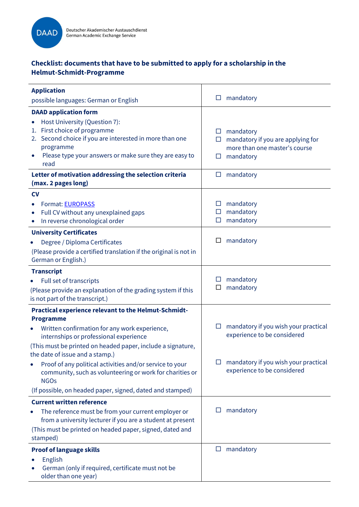

# Checklist: documents that have to be submitted to apply for a scholarship in the Helmut-Schmidt-Programme

| <b>Application</b>                                                                                                                                                                                                                                                                                                                                                                                                                                                               | mandatory<br>$\Box$                                                                                                                        |
|----------------------------------------------------------------------------------------------------------------------------------------------------------------------------------------------------------------------------------------------------------------------------------------------------------------------------------------------------------------------------------------------------------------------------------------------------------------------------------|--------------------------------------------------------------------------------------------------------------------------------------------|
| possible languages: German or English                                                                                                                                                                                                                                                                                                                                                                                                                                            |                                                                                                                                            |
| <b>DAAD application form</b><br>Host University (Question 7):<br>1. First choice of programme<br>2. Second choice if you are interested in more than one<br>programme<br>Please type your answers or make sure they are easy to<br>read                                                                                                                                                                                                                                          | mandatory<br>ப<br>mandatory if you are applying for<br>$\Box$<br>more than one master's course<br>mandatory<br>ப                           |
| Letter of motivation addressing the selection criteria<br>(max. 2 pages long)                                                                                                                                                                                                                                                                                                                                                                                                    | mandatory<br>$\Box$                                                                                                                        |
| <b>CV</b><br>Format: EUROPASS<br>Full CV without any unexplained gaps<br>$\bullet$<br>In reverse chronological order                                                                                                                                                                                                                                                                                                                                                             | mandatory<br>mandatory<br>□<br>mandatory<br>□                                                                                              |
| <b>University Certificates</b><br>Degree / Diploma Certificates<br>(Please provide a certified translation if the original is not in<br>German or English.)                                                                                                                                                                                                                                                                                                                      | mandatory<br>□                                                                                                                             |
| <b>Transcript</b><br>Full set of transcripts<br>(Please provide an explanation of the grading system if this<br>is not part of the transcript.)                                                                                                                                                                                                                                                                                                                                  | mandatory<br>mandatory<br>□                                                                                                                |
| <b>Practical experience relevant to the Helmut-Schmidt-</b><br><b>Programme</b><br>Written confirmation for any work experience,<br>internships or professional experience<br>(This must be printed on headed paper, include a signature,<br>the date of issue and a stamp.)<br>Proof of any political activities and/or service to your<br>community, such as volunteering or work for charities or<br><b>NGOs</b><br>(If possible, on headed paper, signed, dated and stamped) | mandatory if you wish your practical<br>experience to be considered<br>mandatory if you wish your practical<br>experience to be considered |
| <b>Current written reference</b><br>The reference must be from your current employer or<br>from a university lecturer if you are a student at present<br>(This must be printed on headed paper, signed, dated and<br>stamped)                                                                                                                                                                                                                                                    | mandatory                                                                                                                                  |
| <b>Proof of language skills</b><br>English<br>German (only if required, certificate must not be<br>older than one year)                                                                                                                                                                                                                                                                                                                                                          | mandatory<br>ப                                                                                                                             |